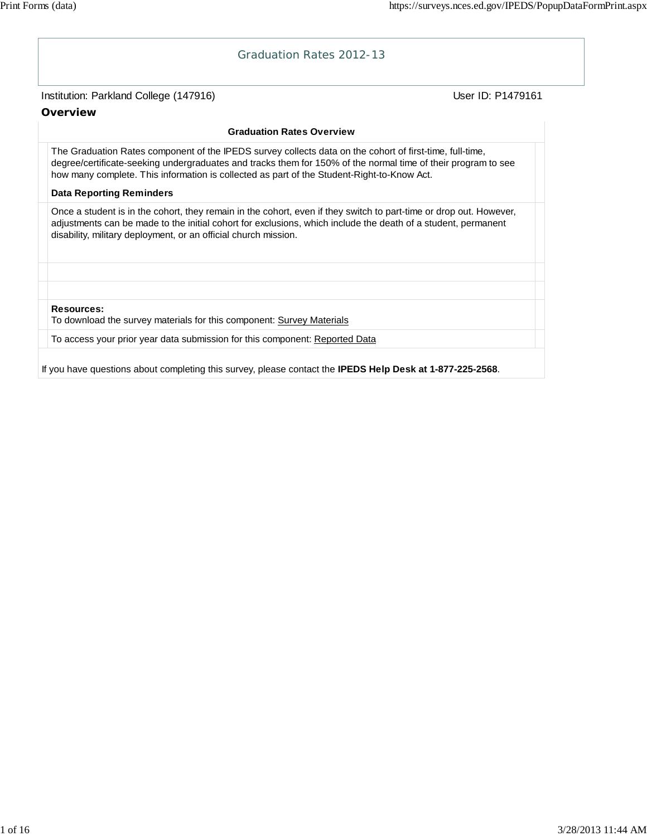# Institution: Parkland College (147916) Noted that the User ID: P1479161 Graduation Rates 2012-13 **Overview Graduation Rates Overview** The Graduation Rates component of the IPEDS survey collects data on the cohort of first-time, full-time, degree/certificate-seeking undergraduates and tracks them for 150% of the normal time of their program to see how many complete. This information is collected as part of the Student-Right-to-Know Act. **Data Reporting Reminders** Once a student is in the cohort, they remain in the cohort, even if they switch to part-time or drop out. However, adjustments can be made to the initial cohort for exclusions, which include the death of a student, permanent disability, military deployment, or an official church mission. **Resources:** To download the survey materials for this component: Survey Materials To access your prior year data submission for this component: Reported Data If you have questions about completing this survey, please contact the **IPEDS Help Desk at 1-877-225-2568**.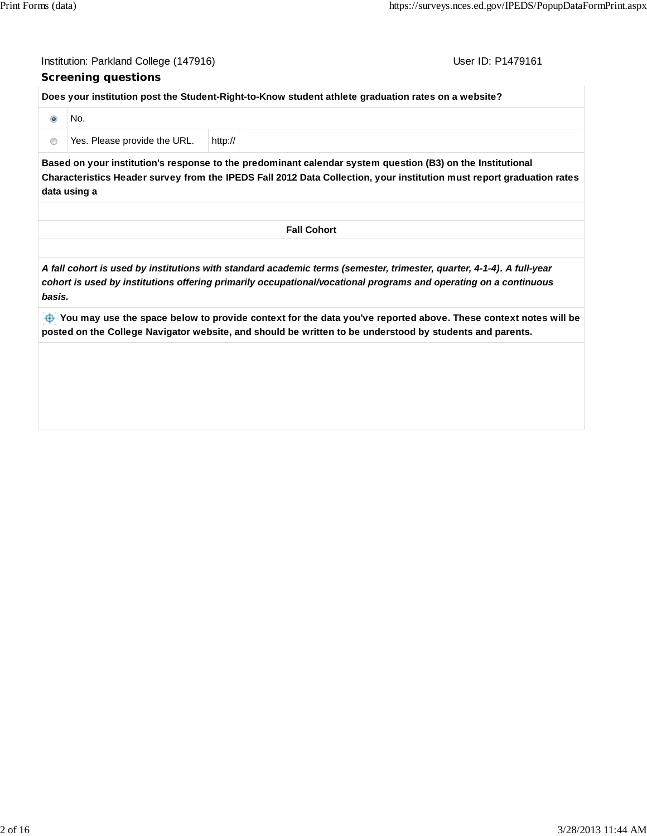User ID: P1479161

#### **Screening questions**

**Does your institution post the Student-Right-to-Know student athlete graduation rates on a website?**

| No.                          |         |
|------------------------------|---------|
| Yes. Please provide the URL. | http:// |

**Based on your institution's response to the predominant calendar system question (B3) on the Institutional Characteristics Header survey from the IPEDS Fall 2012 Data Collection, your institution must report graduation rates data using a**

*A fall cohort is used by institutions with standard academic terms (semester, trimester, quarter, 4-1-4). A full-year cohort is used by institutions offering primarily occupational/vocational programs and operating on a continuous basis.*

 **You may use the space below to provide context for the data you've reported above. These context notes will be posted on the College Navigator website, and should be written to be understood by students and parents.**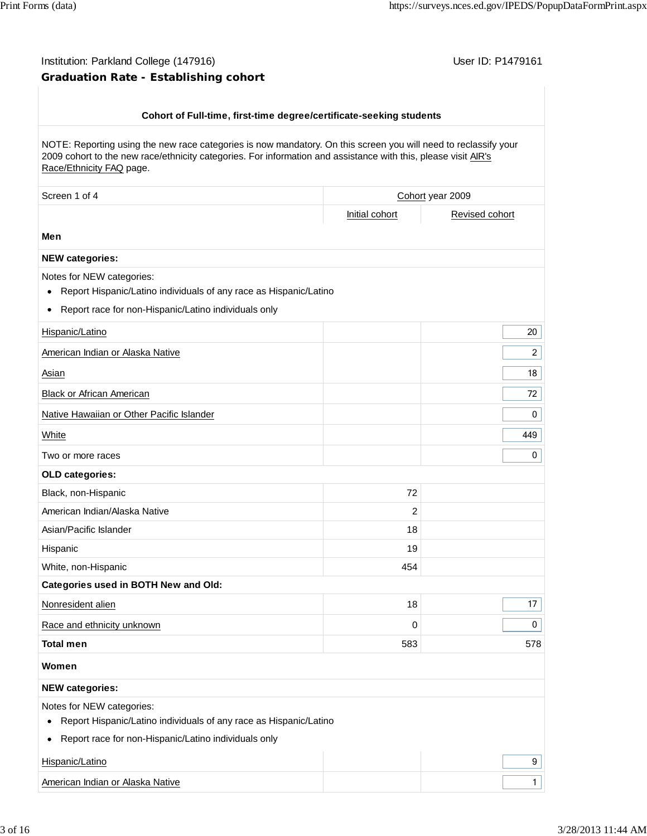$\overline{\phantom{a}}$ 

## Institution: Parkland College (147916) **Institution: Parkland College (147916)** Conservation: P1479161 **Graduation Rate - Establishing cohort**

| Cohort of Full-time, first-time degree/certificate-seeking students                                                                                                                                                                                           |                |                  |
|---------------------------------------------------------------------------------------------------------------------------------------------------------------------------------------------------------------------------------------------------------------|----------------|------------------|
| NOTE: Reporting using the new race categories is now mandatory. On this screen you will need to reclassify your<br>2009 cohort to the new race/ethnicity categories. For information and assistance with this, please visit AIR's<br>Race/Ethnicity FAQ page. |                |                  |
| Screen 1 of 4                                                                                                                                                                                                                                                 |                | Cohort year 2009 |
|                                                                                                                                                                                                                                                               | Initial cohort | Revised cohort   |
| Men                                                                                                                                                                                                                                                           |                |                  |
| <b>NEW categories:</b>                                                                                                                                                                                                                                        |                |                  |
| Notes for NEW categories:<br>Report Hispanic/Latino individuals of any race as Hispanic/Latino<br>٠<br>Report race for non-Hispanic/Latino individuals only<br>٠                                                                                              |                |                  |
| Hispanic/Latino                                                                                                                                                                                                                                               |                | 20               |
| American Indian or Alaska Native                                                                                                                                                                                                                              |                | $\overline{c}$   |
| Asian                                                                                                                                                                                                                                                         |                | 18               |
|                                                                                                                                                                                                                                                               |                |                  |
| Black or African American                                                                                                                                                                                                                                     |                | 72               |
| Native Hawaiian or Other Pacific Islander                                                                                                                                                                                                                     |                | 0                |
| White                                                                                                                                                                                                                                                         |                | 449              |
| Two or more races                                                                                                                                                                                                                                             |                | 0                |
| OLD categories:                                                                                                                                                                                                                                               |                |                  |
| Black, non-Hispanic                                                                                                                                                                                                                                           | 72             |                  |
| American Indian/Alaska Native                                                                                                                                                                                                                                 | 2              |                  |
| Asian/Pacific Islander                                                                                                                                                                                                                                        | 18             |                  |
| Hispanic                                                                                                                                                                                                                                                      | 19             |                  |
| White, non-Hispanic                                                                                                                                                                                                                                           | 454            |                  |
| Categories used in BOTH New and Old:                                                                                                                                                                                                                          |                |                  |
| Nonresident alien                                                                                                                                                                                                                                             | 18             | 17               |
| Race and ethnicity unknown                                                                                                                                                                                                                                    | $\pmb{0}$      | 0                |
| <b>Total men</b>                                                                                                                                                                                                                                              | 583            | 578              |
| Women                                                                                                                                                                                                                                                         |                |                  |
| <b>NEW categories:</b>                                                                                                                                                                                                                                        |                |                  |
| Notes for NEW categories:<br>Report Hispanic/Latino individuals of any race as Hispanic/Latino<br>٠                                                                                                                                                           |                |                  |
| Report race for non-Hispanic/Latino individuals only<br>٠                                                                                                                                                                                                     |                |                  |
| Hispanic/Latino                                                                                                                                                                                                                                               |                | 9                |
| American Indian or Alaska Native                                                                                                                                                                                                                              |                | $\mathbf{1}$     |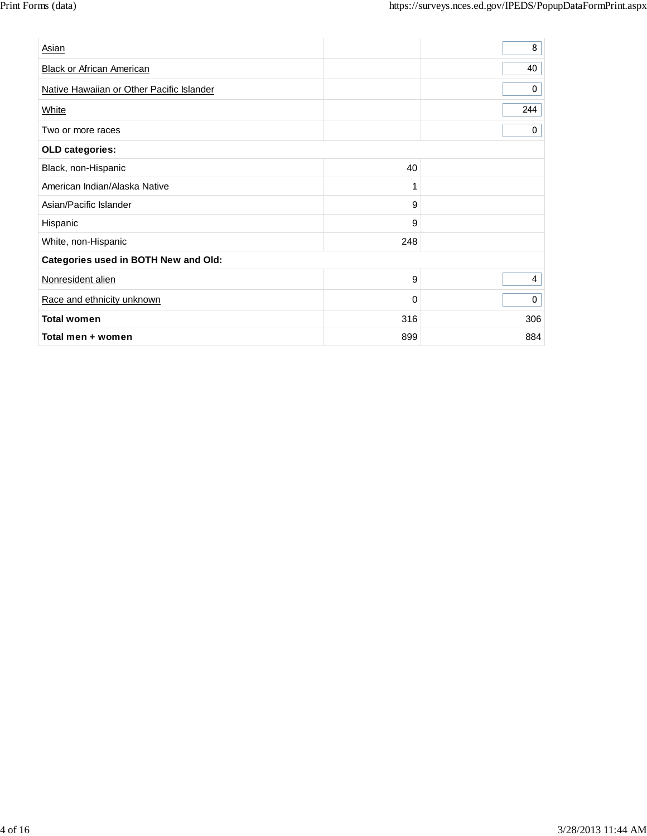| Asian                                     |     | 8           |
|-------------------------------------------|-----|-------------|
| <b>Black or African American</b>          |     | 40          |
| Native Hawaiian or Other Pacific Islander |     | 0           |
| White                                     |     | 244         |
| Two or more races                         |     | $\mathbf 0$ |
| OLD categories:                           |     |             |
| Black, non-Hispanic                       | 40  |             |
| American Indian/Alaska Native             | 1   |             |
| Asian/Pacific Islander                    | 9   |             |
| Hispanic                                  | 9   |             |
| White, non-Hispanic                       | 248 |             |
| Categories used in BOTH New and Old:      |     |             |
| Nonresident alien                         | 9   | 4           |
| Race and ethnicity unknown                | 0   | $\mathbf 0$ |
| <b>Total women</b>                        | 316 | 306         |
| Total men + women                         | 899 | 884         |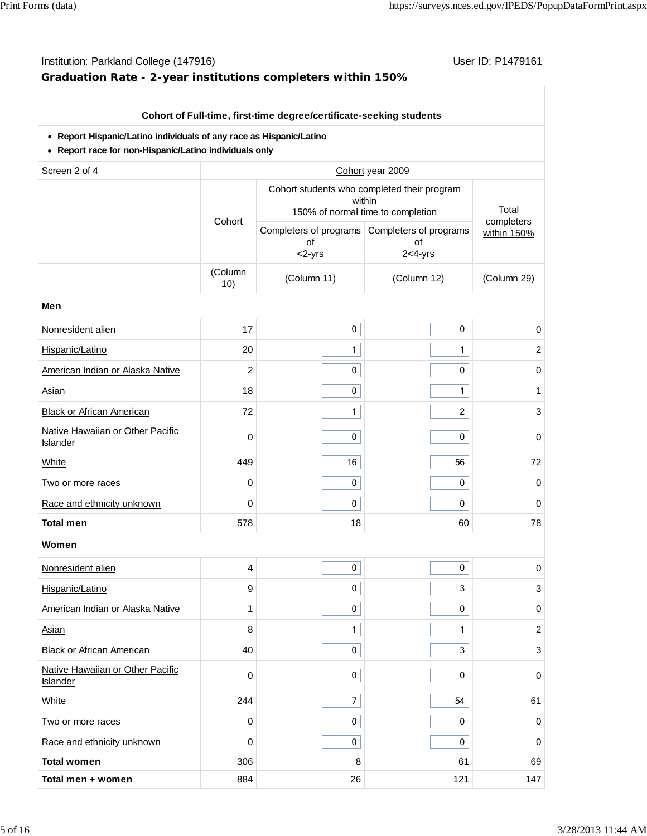## Institution: Parkland College (147916) **Institution: Parkland College (147916**) **Graduation Rate - 2-year institutions completers within 150%**

## **Cohort of Full-time, first-time degree/certificate-seeking students**

#### **Report Hispanic/Latino individuals of any race as Hispanic/Latino**

**Report race for non-Hispanic/Latino individuals only**

| Screen 2 of 4                                       |                |                                                                                            | Cohort year 2009                                                  |                           |
|-----------------------------------------------------|----------------|--------------------------------------------------------------------------------------------|-------------------------------------------------------------------|---------------------------|
|                                                     |                | Cohort students who completed their program<br>within<br>150% of normal time to completion | Total                                                             |                           |
|                                                     | Cohort         | of<br><2-yrs                                                                               | Completers of programs Completers of programs<br>of<br>$2<4$ -yrs | completers<br>within 150% |
|                                                     | (Column<br>10) | (Column 11)                                                                                | (Column 12)                                                       | (Column 29)               |
| Men                                                 |                |                                                                                            |                                                                   |                           |
| Nonresident alien                                   | 17             | $\pmb{0}$                                                                                  | $\pmb{0}$                                                         | 0                         |
| Hispanic/Latino                                     | 20             | $\mathbf{1}$                                                                               | $\mathbf{1}$                                                      | $\overline{c}$            |
| American Indian or Alaska Native                    | $\overline{c}$ | 0                                                                                          | $\pmb{0}$                                                         | $\pmb{0}$                 |
| Asian                                               | 18             | 0                                                                                          | $\mathbf{1}$                                                      | 1                         |
| <b>Black or African American</b>                    | 72             | $\mathbf{1}$                                                                               | $\overline{c}$                                                    | 3                         |
| Native Hawaiian or Other Pacific<br>Islander        | 0              | 0                                                                                          | 0                                                                 | $\mathbf 0$               |
| White                                               | 449            | 16                                                                                         | 56                                                                | 72                        |
| Two or more races                                   | 0              | 0                                                                                          | 0                                                                 | $\mathbf 0$               |
| Race and ethnicity unknown                          | 0              | 0                                                                                          | 0                                                                 | 0                         |
| <b>Total men</b>                                    | 578            | 18                                                                                         | 60                                                                | 78                        |
| Women                                               |                |                                                                                            |                                                                   |                           |
| Nonresident alien                                   | 4              | 0                                                                                          | $\pmb{0}$                                                         | 0                         |
| Hispanic/Latino                                     | 9              | 0                                                                                          | $\mathfrak{S}$                                                    | $\sqrt{3}$                |
| American Indian or Alaska Native                    | 1              | 0                                                                                          | $\pmb{0}$                                                         | $\mathbf 0$               |
| Asian                                               | 8              | $\mathbf{1}$                                                                               | $\mathbf{1}$                                                      | $\overline{c}$            |
| <b>Black or African American</b>                    | 40             | 0                                                                                          | 3                                                                 | 3                         |
| Native Hawaiian or Other Pacific<br><b>Islander</b> | 0              | 0                                                                                          | $\pmb{0}$                                                         | 0                         |
| White                                               | 244            | $\overline{\mathcal{I}}$                                                                   | 54                                                                | 61                        |
| Two or more races                                   | 0              | 0                                                                                          | 0                                                                 | 0                         |
| Race and ethnicity unknown                          | 0              | 0                                                                                          | 0                                                                 | $\mathbf 0$               |
| <b>Total women</b>                                  | 306            | 8                                                                                          | 61                                                                | 69                        |
| Total men + women                                   | 884            | 26                                                                                         | 121                                                               | 147                       |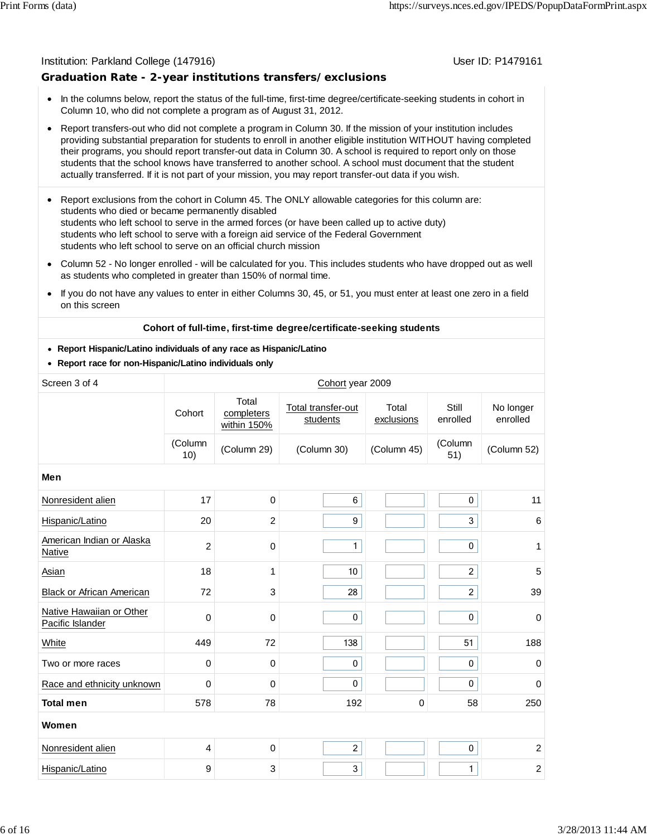#### Institution: Parkland College (147916) November 2012 12: Physics User ID: P1479161

### **Graduation Rate - 2-year institutions transfers/exclusions**

- In the columns below, report the status of the full-time, first-time degree/certificate-seeking students in cohort in Column 10, who did not complete a program as of August 31, 2012.
- Report transfers-out who did not complete a program in Column 30. If the mission of your institution includes providing substantial preparation for students to enroll in another eligible institution WITHOUT having completed their programs, you should report transfer-out data in Column 30. A school is required to report only on those students that the school knows have transferred to another school. A school must document that the student actually transferred. If it is not part of your mission, you may report transfer-out data if you wish.
- Report exclusions from the cohort in Column 45. The ONLY allowable categories for this column are:  $\bullet$ students who died or became permanently disabled students who left school to serve in the armed forces (or have been called up to active duty) students who left school to serve with a foreign aid service of the Federal Government students who left school to serve on an official church mission
- Column 52 No longer enrolled will be calculated for you. This includes students who have dropped out as well  $\bullet$ as students who completed in greater than 150% of normal time.
- If you do not have any values to enter in either Columns 30, 45, or 51, you must enter at least one zero in a field  $\bullet$ on this screen

#### **Cohort of full-time, first-time degree/certificate-seeking students**

#### **Report Hispanic/Latino individuals of any race as Hispanic/Latino**

**Report race for non-Hispanic/Latino individuals only**

| Screen 3 of 4                                |                |                                    | Cohort year 2009               |                     |                   |                       |
|----------------------------------------------|----------------|------------------------------------|--------------------------------|---------------------|-------------------|-----------------------|
|                                              | Cohort         | Total<br>completers<br>within 150% | Total transfer-out<br>students | Total<br>exclusions | Still<br>enrolled | No longer<br>enrolled |
|                                              | (Column<br>10) | (Column 29)                        | (Column 30)                    | (Column 45)         | (Column<br>51)    | (Column 52)           |
| Men                                          |                |                                    |                                |                     |                   |                       |
| Nonresident alien                            | 17             | $\mathbf 0$                        | 6                              |                     | $\pmb{0}$         | 11                    |
| Hispanic/Latino                              | 20             | $\overline{c}$                     | 9                              |                     | 3                 | $\,6$                 |
| American Indian or Alaska<br>Native          | $\overline{2}$ | 0                                  | $\mathbf{1}$                   |                     | 0                 | 1                     |
| Asian                                        | 18             | 1                                  | 10                             |                     | $\overline{2}$    | 5                     |
| Black or African American                    | 72             | 3                                  | 28                             |                     | $\overline{2}$    | 39                    |
| Native Hawaiian or Other<br>Pacific Islander | $\mathbf 0$    | $\mathbf 0$                        | $\pmb{0}$                      |                     | 0                 | $\mathbf 0$           |
| White                                        | 449            | 72                                 | 138                            |                     | 51                | 188                   |
| Two or more races                            | $\mathbf 0$    | $\mathbf 0$                        | 0                              |                     | 0                 | $\pmb{0}$             |
| Race and ethnicity unknown                   | 0              | $\mathbf 0$                        | $\mathbf 0$                    |                     | 0                 | 0                     |
| <b>Total men</b>                             | 578            | 78                                 | 192                            | 0                   | 58                | 250                   |
| Women                                        |                |                                    |                                |                     |                   |                       |
| Nonresident alien                            | 4              | $\mathbf 0$                        | $\overline{a}$                 |                     | $\pmb{0}$         | $\boldsymbol{2}$      |
| Hispanic/Latino                              | 9              | 3                                  | 3                              |                     | $\mathbf{1}$      | $\boldsymbol{2}$      |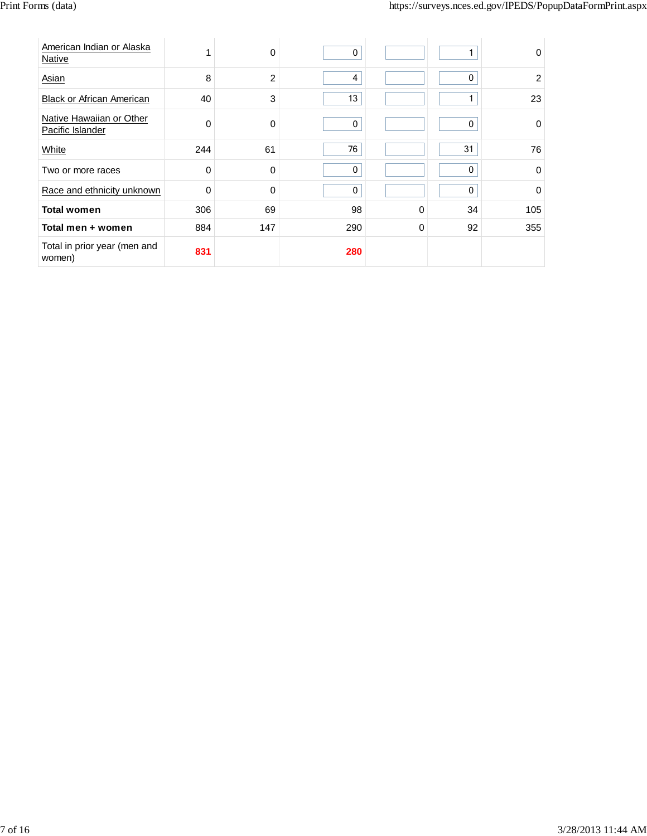| American Indian or Alaska<br>Native          |     | 0              | 0   |             |    | $\Omega$    |
|----------------------------------------------|-----|----------------|-----|-------------|----|-------------|
| Asian                                        | 8   | $\overline{2}$ | 4   |             | 0  | 2           |
| <b>Black or African American</b>             | 40  | 3              | 13  |             | 1  | 23          |
| Native Hawaiian or Other<br>Pacific Islander | 0   | 0              | 0   |             | 0  | $\Omega$    |
| White                                        | 244 | 61             | 76  |             | 31 | 76          |
| Two or more races                            | 0   | 0              | 0   |             | 0  | $\mathbf 0$ |
| Race and ethnicity unknown                   | 0   | 0              | 0   |             | 0  | $\Omega$    |
| <b>Total women</b>                           | 306 | 69             | 98  | $\Omega$    | 34 | 105         |
| Total men + women                            | 884 | 147            | 290 | $\mathbf 0$ | 92 | 355         |
| Total in prior year (men and<br>women)       | 831 |                | 280 |             |    |             |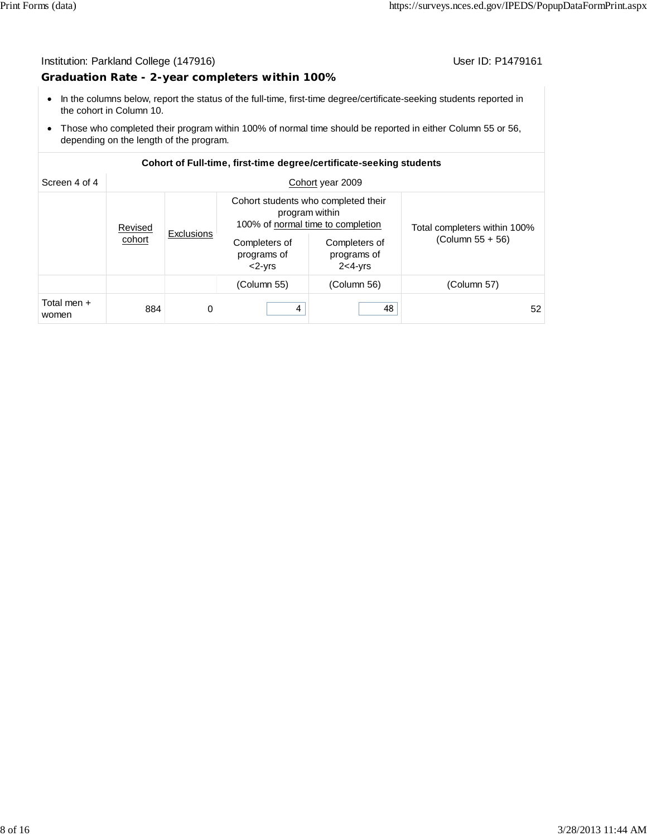#### Institution: Parkland College (147916) Contract College (147916)

#### **Graduation Rate - 2-year completers within 100%**

- In the columns below, report the status of the full-time, first-time degree/certificate-seeking students reported in the cohort in Column 10.
- Those who completed their program within 100% of normal time should be reported in either Column 55 or 56, depending on the length of the program.

#### **Cohort of Full-time, first-time degree/certificate-seeking students**

| Screen 4 of 4        |         |                   |                                                                                            | Cohort year 2009                           |                              |
|----------------------|---------|-------------------|--------------------------------------------------------------------------------------------|--------------------------------------------|------------------------------|
|                      | Revised |                   | Cohort students who completed their<br>program within<br>100% of normal time to completion |                                            | Total completers within 100% |
|                      | cohort  | <b>Exclusions</b> | Completers of<br>programs of<br>$<$ 2- $Vrs$                                               | Completers of<br>programs of<br>$2<4$ -yrs | $(Column 55 + 56)$           |
|                      |         |                   | (Column 55)                                                                                | (Column 56)                                | (Column 57)                  |
| Total men +<br>women | 884     | 0                 | 4                                                                                          | 48                                         | 52                           |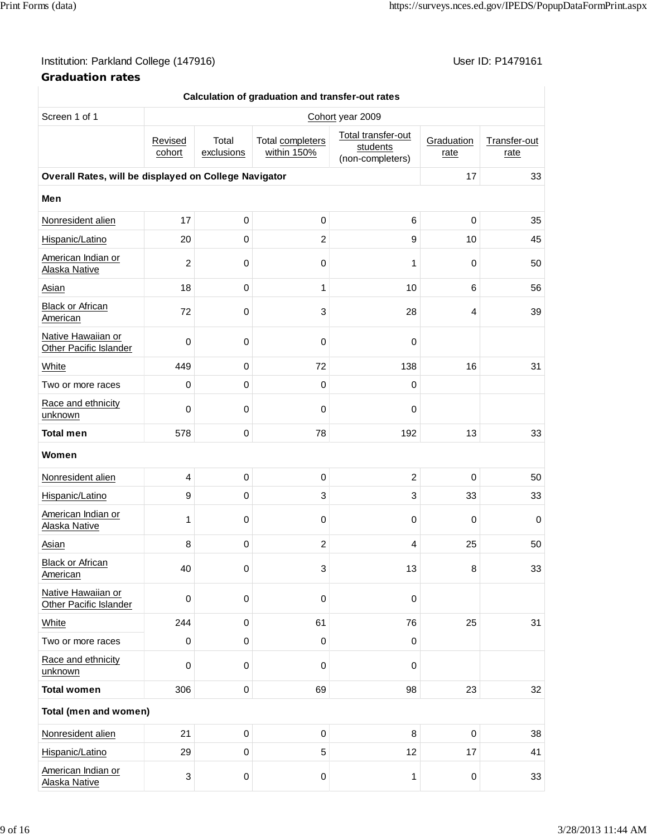## Institution: Parkland College (147916) **Institution: Parkland College (147916)** Conservation: P1479161

| Calculation of graduation and transfer-out rates      |                   |                     |                                 |                                                    |                    |                      |  |  |
|-------------------------------------------------------|-------------------|---------------------|---------------------------------|----------------------------------------------------|--------------------|----------------------|--|--|
| Screen 1 of 1                                         |                   |                     |                                 | Cohort year 2009                                   |                    |                      |  |  |
|                                                       | Revised<br>cohort | Total<br>exclusions | Total completers<br>within 150% | Total transfer-out<br>students<br>(non-completers) | Graduation<br>rate | Transfer-out<br>rate |  |  |
| Overall Rates, will be displayed on College Navigator |                   |                     |                                 |                                                    | 17                 | 33                   |  |  |
| Men                                                   |                   |                     |                                 |                                                    |                    |                      |  |  |
| Nonresident alien                                     | 17                | $\boldsymbol{0}$    | 0                               | 6                                                  | $\mathbf 0$        | 35                   |  |  |
| Hispanic/Latino                                       | 20                | $\mathbf 0$         | 2                               | 9                                                  | 10                 | 45                   |  |  |
| American Indian or<br>Alaska Native                   | $\overline{c}$    | 0                   | 0                               | 1                                                  | 0                  | 50                   |  |  |
| Asian                                                 | 18                | $\pmb{0}$           | 1                               | 10                                                 | 6                  | 56                   |  |  |
| <b>Black or African</b><br>American                   | 72                | $\pmb{0}$           | 3                               | 28                                                 | 4                  | 39                   |  |  |
| Native Hawaiian or<br><b>Other Pacific Islander</b>   | $\pmb{0}$         | 0                   | 0                               | 0                                                  |                    |                      |  |  |
| White                                                 | 449               | $\pmb{0}$           | 72                              | 138                                                | 16                 | 31                   |  |  |
| Two or more races                                     | 0                 | $\pmb{0}$           | $\mathbf 0$                     | 0                                                  |                    |                      |  |  |
| Race and ethnicity<br>unknown                         | $\mathbf 0$       | 0                   | 0                               | 0                                                  |                    |                      |  |  |
| <b>Total men</b>                                      | 578               | $\pmb{0}$           | 78                              | 192                                                | 13                 | 33                   |  |  |
| Women                                                 |                   |                     |                                 |                                                    |                    |                      |  |  |
| Nonresident alien                                     | 4                 | $\mathbf 0$         | $\pmb{0}$                       | $\overline{2}$                                     | $\mathbf 0$        | 50                   |  |  |
| Hispanic/Latino                                       | 9                 | 0                   | 3                               | 3                                                  | 33                 | 33                   |  |  |
| American Indian or<br>Alaska Native                   | 1                 | 0                   | $\mathbf 0$                     | 0                                                  | $\mathbf 0$        | $\mathbf 0$          |  |  |
| Asian                                                 | 8                 | $\pmb{0}$           | $\overline{2}$                  | 4                                                  | 25                 | 50                   |  |  |
| <b>Black or African</b><br>American                   | 40                | 0                   | 3                               | 13                                                 | 8                  | 33                   |  |  |
| Native Hawaiian or<br>Other Pacific Islander          | $\pmb{0}$         | $\pmb{0}$           | $\pmb{0}$                       | $\pmb{0}$                                          |                    |                      |  |  |
| White                                                 | 244               | $\pmb{0}$           | 61                              | 76                                                 | 25                 | 31                   |  |  |
| Two or more races                                     | 0                 | 0                   | 0                               | $\mathsf 0$                                        |                    |                      |  |  |
| Race and ethnicity<br>unknown                         | $\pmb{0}$         | $\pmb{0}$           | $\mathbf 0$                     | 0                                                  |                    |                      |  |  |
| <b>Total women</b>                                    | 306               | $\pmb{0}$           | 69                              | 98                                                 | 23                 | 32                   |  |  |
| Total (men and women)                                 |                   |                     |                                 |                                                    |                    |                      |  |  |
| Nonresident alien                                     | 21                | $\,0\,$             | $\pmb{0}$                       | 8                                                  | $\pmb{0}$          | 38                   |  |  |
| Hispanic/Latino                                       | 29                | $\pmb{0}$           | 5                               | 12                                                 | 17                 | 41                   |  |  |
| American Indian or<br>Alaska Native                   | 3                 | $\pmb{0}$           | 0                               | 1                                                  | 0                  | 33                   |  |  |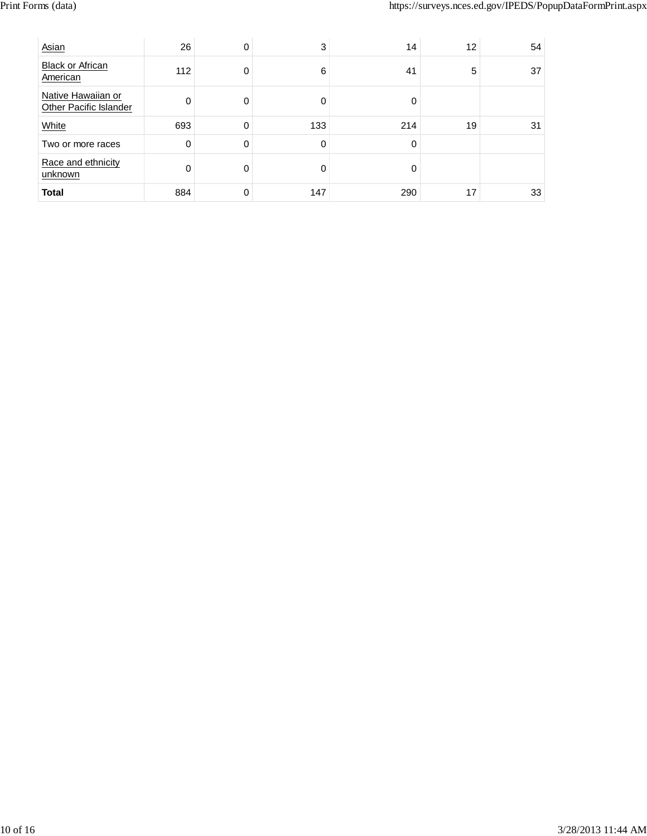| Asian                                        | 26  | 0 | 3   | 14  | 12 | 54 |
|----------------------------------------------|-----|---|-----|-----|----|----|
| <b>Black or African</b><br>American          | 112 | 0 | 6   | 41  | 5  | 37 |
| Native Hawaiian or<br>Other Pacific Islander | 0   | 0 | 0   | O   |    |    |
| White                                        | 693 | 0 | 133 | 214 | 19 | 31 |
| Two or more races                            | 0   | 0 | 0   | 0   |    |    |
| Race and ethnicity<br>unknown                | 0   | 0 | 0   | O   |    |    |
| <b>Total</b>                                 | 884 | 0 | 147 | 290 | 17 | 33 |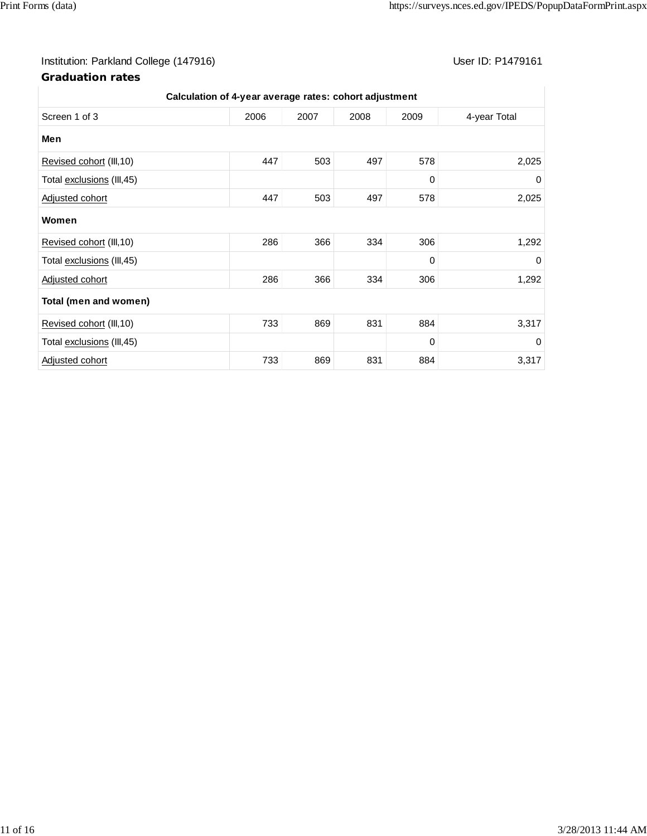## Institution: Parkland College (147916) Contract College (147916)

| Calculation of 4-year average rates: cohort adjustment |      |      |      |      |              |  |  |
|--------------------------------------------------------|------|------|------|------|--------------|--|--|
| Screen 1 of 3                                          | 2006 | 2007 | 2008 | 2009 | 4-year Total |  |  |
| Men                                                    |      |      |      |      |              |  |  |
| Revised cohort (III, 10)                               | 447  | 503  | 497  | 578  | 2,025        |  |  |
| Total exclusions (III, 45)                             |      |      |      | 0    | 0            |  |  |
| Adjusted cohort                                        | 447  | 503  | 497  | 578  | 2,025        |  |  |
| Women                                                  |      |      |      |      |              |  |  |
| Revised cohort (III, 10)                               | 286  | 366  | 334  | 306  | 1,292        |  |  |
| Total exclusions (III, 45)                             |      |      |      | 0    | 0            |  |  |
| Adjusted cohort                                        | 286  | 366  | 334  | 306  | 1,292        |  |  |
| Total (men and women)                                  |      |      |      |      |              |  |  |
| Revised cohort (III, 10)                               | 733  | 869  | 831  | 884  | 3,317        |  |  |
| Total exclusions (III, 45)                             |      |      |      | 0    | 0            |  |  |
| Adjusted cohort                                        | 733  | 869  | 831  | 884  | 3,317        |  |  |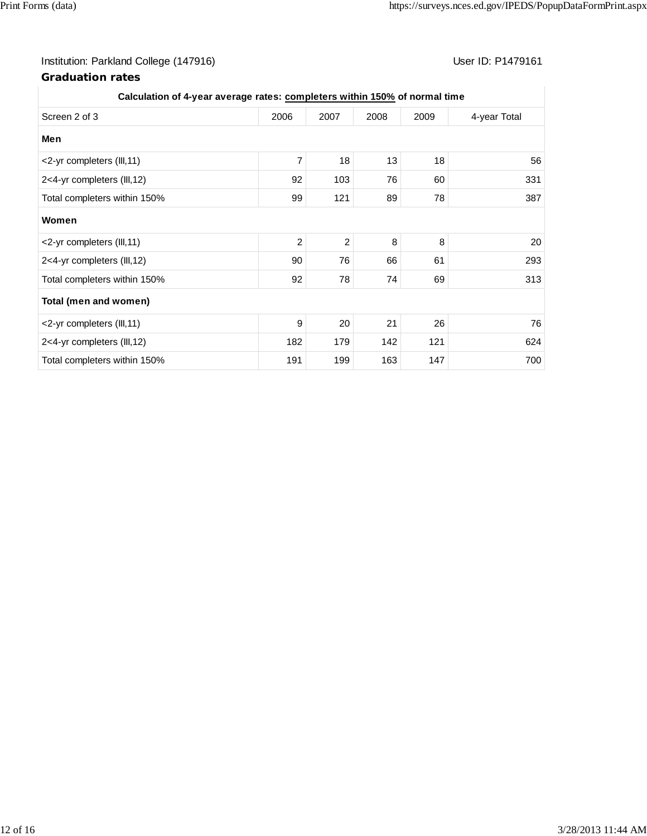## Institution: Parkland College (147916) **Institution: Parkland College (147916)** Conservation: P1479161

| Calculation of 4-year average rates: completers within 150% of normal time |                |                |      |      |              |
|----------------------------------------------------------------------------|----------------|----------------|------|------|--------------|
| Screen 2 of 3                                                              | 2006           | 2007           | 2008 | 2009 | 4-year Total |
| Men                                                                        |                |                |      |      |              |
| <2-yr completers (III,11)                                                  | 7              | 18             | 13   | 18   | 56           |
| 2<4-yr completers (III,12)                                                 | 92             | 103            | 76   | 60   | 331          |
| Total completers within 150%                                               | 99             | 121            | 89   | 78   | 387          |
| Women                                                                      |                |                |      |      |              |
| <2-yr completers (III,11)                                                  | $\overline{2}$ | $\overline{2}$ | 8    | 8    | 20           |
| 2<4-yr completers (III,12)                                                 | 90             | 76             | 66   | 61   | 293          |
| Total completers within 150%                                               | 92             | 78             | 74   | 69   | 313          |
| Total (men and women)                                                      |                |                |      |      |              |
| <2-yr completers (III,11)                                                  | 9              | 20             | 21   | 26   | 76           |
| 2<4-yr completers (III,12)                                                 | 182            | 179            | 142  | 121  | 624          |
| Total completers within 150%                                               | 191            | 199            | 163  | 147  | 700          |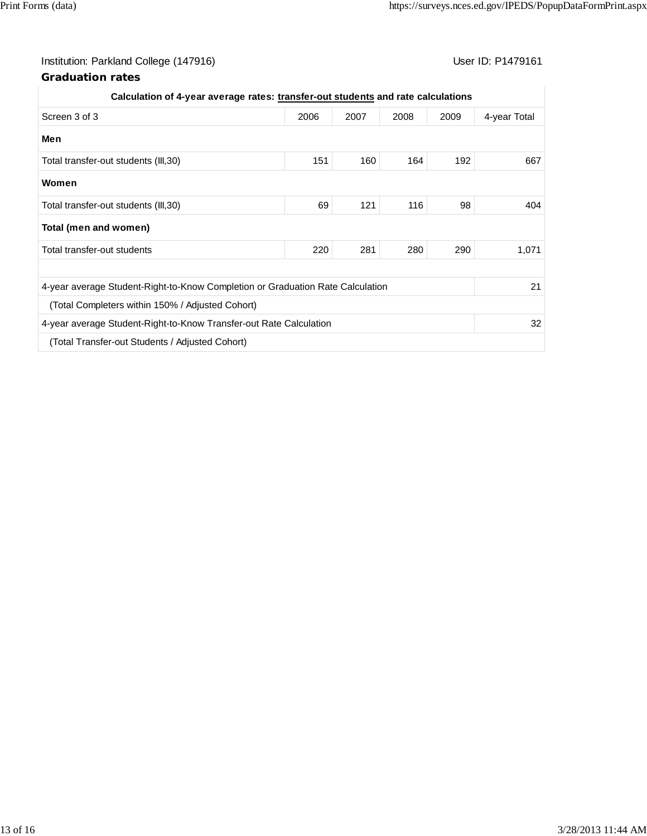## Institution: Parkland College (147916) Contract College (147916)

| Calculation of 4-year average rates: transfer-out students and rate calculations |      |      |      |      |              |
|----------------------------------------------------------------------------------|------|------|------|------|--------------|
| Screen 3 of 3                                                                    | 2006 | 2007 | 2008 | 2009 | 4-year Total |
| Men                                                                              |      |      |      |      |              |
| Total transfer-out students (III,30)                                             | 151  | 160  | 164  | 192  | 667          |
| Women                                                                            |      |      |      |      |              |
| Total transfer-out students (III,30)                                             | 69   | 121  | 116  | 98   | 404          |
| Total (men and women)                                                            |      |      |      |      |              |
| Total transfer-out students                                                      | 220  | 281  | 280  | 290  | 1,071        |
|                                                                                  |      |      |      |      |              |
| 4-year average Student-Right-to-Know Completion or Graduation Rate Calculation   |      |      |      |      | 21           |
| (Total Completers within 150% / Adjusted Cohort)                                 |      |      |      |      |              |
| 4-year average Student-Right-to-Know Transfer-out Rate Calculation               |      |      |      |      | 32           |
| (Total Transfer-out Students / Adjusted Cohort)                                  |      |      |      |      |              |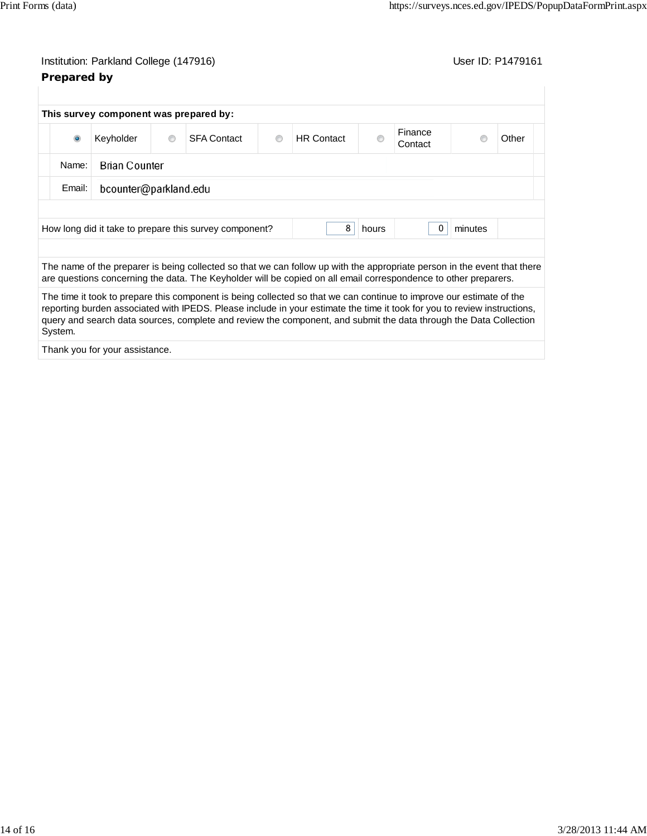## Institution: Parkland College (147916) **Institution: Parkland College (147916**) **Prepared by**

| This survey component was prepared by:                                               |           |                |                                                                                                                                                                                                                                             |   |                   |   |                    |       |
|--------------------------------------------------------------------------------------|-----------|----------------|---------------------------------------------------------------------------------------------------------------------------------------------------------------------------------------------------------------------------------------------|---|-------------------|---|--------------------|-------|
| $\bullet$                                                                            | Keyholder | $\circledcirc$ | <b>SFA Contact</b>                                                                                                                                                                                                                          | ◉ | <b>HR</b> Contact | ⋒ | Finance<br>Contact | Other |
| <b>Brian Counter</b><br>Name:                                                        |           |                |                                                                                                                                                                                                                                             |   |                   |   |                    |       |
| bcounter@parkland.edu<br>Email:                                                      |           |                |                                                                                                                                                                                                                                             |   |                   |   |                    |       |
|                                                                                      |           |                |                                                                                                                                                                                                                                             |   |                   |   |                    |       |
| 8<br>minutes<br>How long did it take to prepare this survey component?<br>0<br>hours |           |                |                                                                                                                                                                                                                                             |   |                   |   |                    |       |
|                                                                                      |           |                |                                                                                                                                                                                                                                             |   |                   |   |                    |       |
|                                                                                      |           |                | The name of the preparer is being collected so that we can follow up with the appropriate person in the event that there<br>are questions concerning the data. The Keyholder will be copied on all email correspondence to other preparers. |   |                   |   |                    |       |

The time it took to prepare this component is being collected so that we can continue to improve our estimate of the reporting burden associated with IPEDS. Please include in your estimate the time it took for you to review instructions, query and search data sources, complete and review the component, and submit the data through the Data Collection System.

Thank you for your assistance.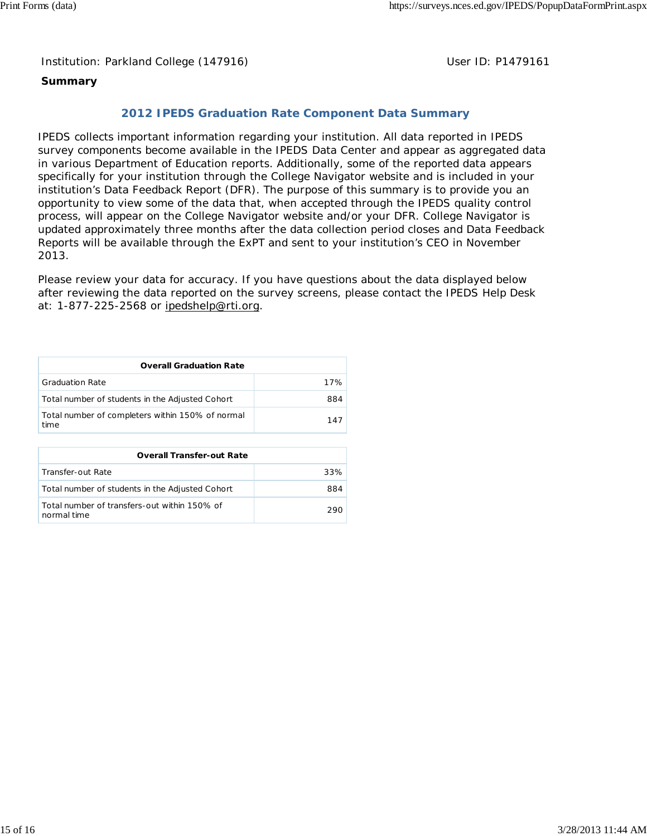Institution: Parkland College (147916) Noting the Muslim User ID: P1479161

### **Summary**

### **2012 IPEDS Graduation Rate Component Data Summary**

IPEDS collects important information regarding your institution. All data reported in IPEDS survey components become available in the IPEDS Data Center and appear as aggregated data in various Department of Education reports. Additionally, some of the reported data appears specifically for your institution through the College Navigator website and is included in your institution's Data Feedback Report (DFR). The purpose of this summary is to provide you an opportunity to view some of the data that, when accepted through the IPEDS quality control process, will appear on the College Navigator website and/or your DFR. College Navigator is updated approximately three months after the data collection period closes and Data Feedback Reports will be available through the ExPT and sent to your institution's CEO in November 2013.

Please review your data for accuracy. If you have questions about the data displayed below after reviewing the data reported on the survey screens, please contact the IPEDS Help Desk at: 1-877-225-2568 or ipedshelp@rti.org.

| <b>Overall Graduation Rate</b>                           |     |  |  |  |
|----------------------------------------------------------|-----|--|--|--|
| <b>Graduation Rate</b>                                   | 17% |  |  |  |
| Total number of students in the Adjusted Cohort          | 884 |  |  |  |
| Total number of completers within 150% of normal<br>time | 147 |  |  |  |

| <b>Overall Transfer-out Rate</b>                            |      |  |  |
|-------------------------------------------------------------|------|--|--|
| Transfer-out Rate                                           | 33%  |  |  |
| Total number of students in the Adjusted Cohort             | 884  |  |  |
| Total number of transfers-out within 150% of<br>normal time | 290. |  |  |